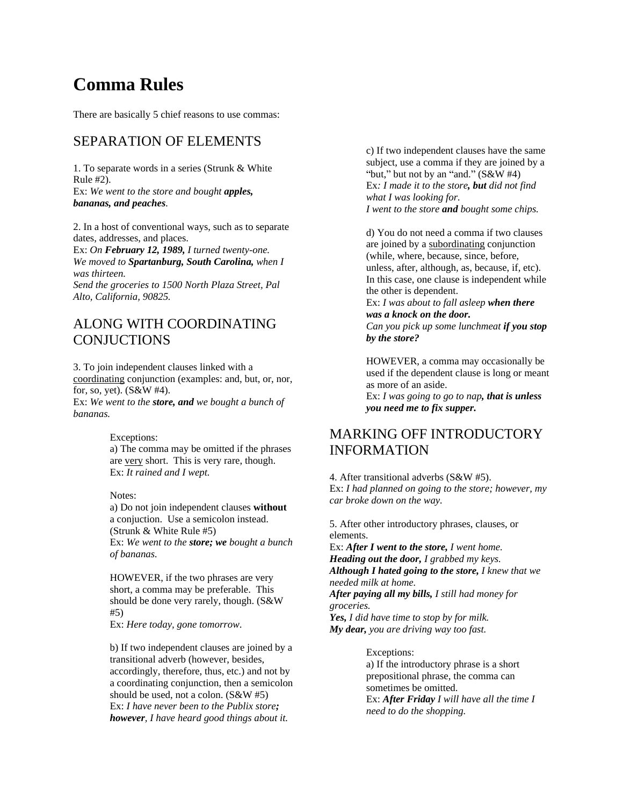# **Comma Rules**

There are basically 5 chief reasons to use commas:

#### SEPARATION OF ELEMENTS

1. To separate words in a series (Strunk & White  $P_{\text{1}}$ , we a community are jointed to the subject, that is dependent of the subject, use a comma in they are jointed to  $P_{\text{2}}$ ,  $P_{\text{3}}$ Rule #2).<br>Ex: I made it to the store, but did not find<br>Ex: I made it to the store, but did not find Ex: *We went to the store and bought apples,* 

2. In a host of conventional ways, such as to separate dates, addresses, and places.

Ex: *On February 12, 1989, I turned twenty-one. We moved to Spartanburg, South Carolina, when I* 

*Send the groceries to 1500 North Plaza Street, Pal Alto, California, 90825.* Ex: *I was about to fall asleep when there* 

#### ALONG WITH COORDINATING CONJUCTIONS by the store?

3. To join independent clauses linked with a coordinating conjunction (examples: and, but, or, nor, for, so, yet). (S&W #4). Ex: *I was going to go to nap, that is unless*  Ex: *We went to the store, and we bought a bunch of bananas.*

a) The comma may be omitted if the phrases **INFORMATION** are very short. This is very rare, though.

a) Do not join independent clauses **without** a conjuction. Use a semicolon instead. (Strunk & White Rule  $#5$ ) elements. Ex: *We went to the store; we bought a bunch* 

HOWEVER, if the two phrases are very short, a comma may be preferable. This should be done very rarely, though.  $(S\&W$  *groceries.* 

Ex: *Here today, gone tomorrow*.

b) If two independent clauses are joined by a transitional adverb (however, besides, accordingly, therefore, thus, etc.) and not by a coordinating conjunction, then a semicolon should be used, not a colon. (S&W #5) Ex: *I have never been to the Publix store; however, I have heard good things about it.*

**bananas, and peaches**.<br>*I went to the store* **and** bought some chips.<br>*I went to the store* **and** bought some chips. c) If two independent clauses have the same subject, use a comma if they are joined by a but," but not by an "and."  $(S&W #4)$ *what I was looking for.*

was thirteen.<br>
Send the america to 1500 North Plaza Stuart, Pal In this case, one clause is independent while d) You do not need a comma if two clauses are joined by a subordinating conjunction (while, where, because, since, before, unless, after, although, as, because, if, etc). the other is dependent.

> *was a knock on the door. Can you pick up some lunchmeat if you stop*

*by the store?*

HOWEVER, a comma may occasionally be used if the dependent clause is long or meant as more of an aside.

*you need me to fix supper.* 

#### Exceptions: MARKING OFF INTRODUCTORY INFORMATION

Ex: *It rained and I wept.* 4. After transitional adverbs (S&W #5). Notes:<br> *car broke down on the way.*<br>
<sup>*car broke down on the way.*</sup> Ex: *I had planned on going to the store; however, my* 

> 5. After other introductory phrases, clauses, or elements.

*of bananas. Heading out the door, I grabbed my keys.* Ex: *After I went to the store, I went home. Although I hated going to the store, I knew that we needed milk at home. After paying all my bills, I still had money for* 

#5) *Yes, I did have time to stop by for milk. groceries. My dear, you are driving way too fast.*

> Exceptions: a) If the introductory phrase is a short prepositional phrase, the comma can sometimes be omitted. Ex: *After Friday I will have all the time I need to do the shopping.*